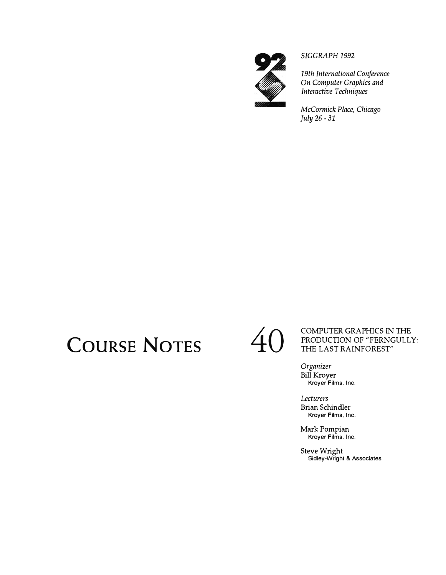

#### *SIGGRAPH 1992*

*19th International Conference On Computer Graphics and Interactive Techniques* 

*McCormick Place, Chicago July* 26 - *31* 

# **COURSE NOTES**

COMPUTER GRAPHICS IN THE PRODUCTION OF "FERNGULLY: THE LAST RAINFOREST"

*Organizer*  Bill Kroyer **Kroyer Films, Inc.** 

*Lecturers*  Brian Schindler **Kroyer Films, Inc.** 

Mark Pompian **Kroyer Films, Inc.** 

Steve Wright **Sidley-Wright & Associates**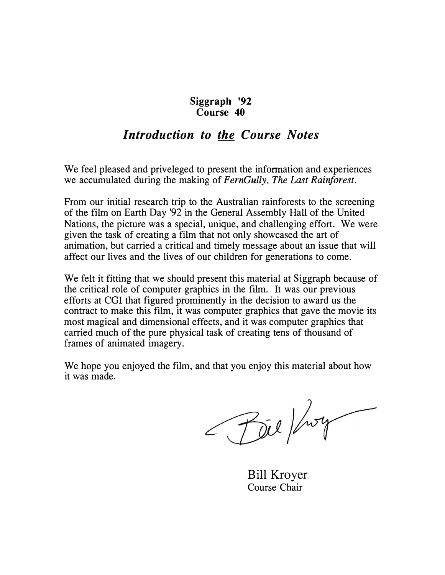### **Siggraph '92 Course 40**

## *Introduction to the Course Notes*

We feel pleased and priveleged to present the information and experiences we accumulated during the making of *FernGully, The Last Rainforest.* 

From our initial research trip to the Australian rainforests to the screening of the film on Earth Day '92 in the General Assembly Hall of the United Nations, the picture was a special, unique, and challenging effort. We were given the task of creating a film that not only showcased the art of animation, but carried a critical and timely message about an issue that will affect our lives and the lives of our children for generations to come.

We felt it fitting that we should present this material at Siggraph because of the critical role of computer graphics in the film. It was our previous efforts at CGI that figured prominently in the decision to award us the contract to make this film, it was computer graphics that gave the movie its most magical and dimensional effects, and it was computer graphics that carried much of the pure physical task of creating tens of thousand of frames of animated imagery.

We hope you enjoyed the film, and that you enjoy this material about how it was made.

Bil / hoy

Bill Kroyer Course Chair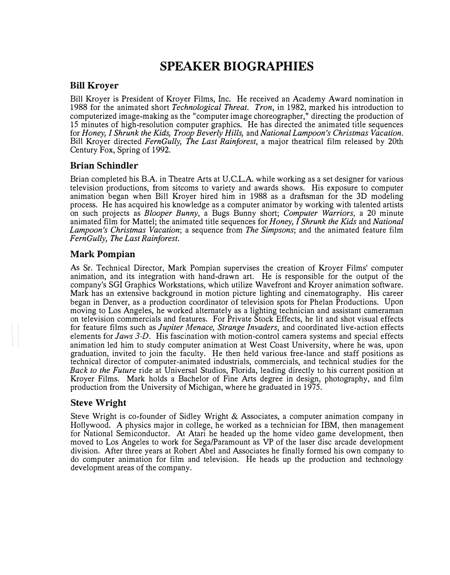# **SPEAKER BIOGRAPHIES**

#### **Bill Kroyer**

Bill Kroyer is President of Kroyer Films, Inc. He received an Academy Award nomination in 1988 for the animated short *Technological Threat. Tron,* in 1982, marked his introduction to computerized image-making as the "computer image choreographer," directing the production of 15 minutes of high-resolution computer graphics. He has directed the animated title sequences for *Honey, I Shrunk the Kids, Troop Beverly Hills,* and *National Lampoon's Christmas Vacation.*  Bill Kroyer directed *FernGully, The Last Rainforest,* a major theatrical film released by 20th Century Fox, Spring of 1992.

#### **Brian Schindler**

Brian completed his B.A. in Theatre Arts at U.C.L.A. while working as a set designer for various television productions, from sitcoms to variety and awards shows. His exposure to computer animation began when Bill Kroyer hired him in 1988 as a draftsman for the 3D modeling process. He has acquired his knowledge as a computer animator by working with talented artists on such projects as *Blooper Bunny,* a Bugs Bunny short; *Computer Warriors,* a 20 minute animated film for Mattel; the animated title sequences for *Honey, I Shrunk the Kids* and *National Lampoon's Christmas Vacation;* a sequence from *The Simpsons;* and the animated feature film *FernGully, The Last Rainforest.* 

#### **Mark Pompian**

As Sr. Technical Director, Mark Pompian supervises the creation of Kroyer Films' computer animation, and its integration with hand-drawn art. He is responsible for the output of the company's SGI Graphics Workstations, which utilize Wavefront and Kroyer animation software. Mark has an extensive background in motion picture lighting and cinematography. His career began in Denver, as a production coordinator of television spots for Phelan Productions. Upon moving to Los Angeles, he worked alternately as a lighting technician and assistant cameraman on television commercials and features. For Private Stock Effects, he lit and shot visual effects for feature films such as *Jupiter Menace, Strange Invaders,* and coordinated live-action effects elements for *Jaws 3-D.* His fascination with motion-control camera systems and special effects animation led him to study computer animation at West Coast University, where he was, upon graduation, invited to join the faculty. He then held various free-lance and staff positions as technical director of computer-animated industrials, commercials, and technical studies for the *Back to the Future* ride at Universal Studios, Florida, leading directly to his current position at Kroyer Films. Mark holds a Bachelor of Fine Arts degree in design, photography, and film production from the University of Michigan, where he graduated in 1975.

#### **Steve Wright**

Steve Wright is co-founder of Sidley Wright & Associates, a computer animation company in Hollywood. A physics major in college, he worked as a technician for IBM, then management for National Semiconductor. At Atari he headed up the home video game development, then moved to Los Angeles to work for Sega/Paramount as VP of the laser disc arcade development division. After three years at Robert Abel and Associates he finally formed his own company to do computer animation for film and television. He heads up the production and technology development areas of the company.